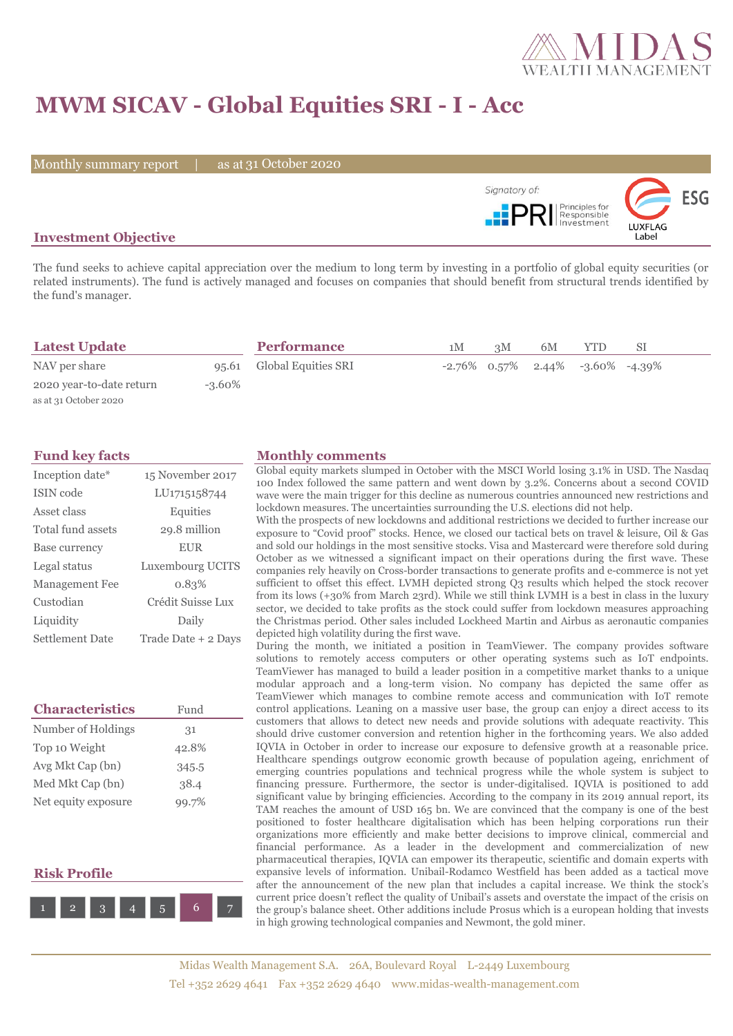

# **MWM SICAV - Global Equities SRI - I - Acc**

Monthly summary report | as at 31 October 2020



## **Investment Objective**

The fund seeks to achieve capital appreciation over the medium to long term by investing in a portfolio of global equity securities (or related instruments). The fund is actively managed and focuses on companies that should benefit from structural trends identified by the fund's manager.

| <b>Latest Update</b>     |           | <b>Performance</b>        | 1M | 3M | 6M |                                           |  |
|--------------------------|-----------|---------------------------|----|----|----|-------------------------------------------|--|
| NAV per share            |           | 95.61 Global Equities SRI |    |    |    | $-2.76\%$ 0.57% 2.44% $-3.60\%$ $-4.39\%$ |  |
| 2020 year-to-date return | $-3.60\%$ |                           |    |    |    |                                           |  |
| as at 31 October 2020    |           |                           |    |    |    |                                           |  |

| Inception date*   | 15 November 2017    |
|-------------------|---------------------|
| <b>ISIN</b> code  | LU1715158744        |
| Asset class       | Equities            |
| Total fund assets | 29.8 million        |
| Base currency     | <b>EUR</b>          |
| Legal status      | Luxembourg UCITS    |
| Management Fee    | 0.83%               |
| Custodian         | Crédit Suisse Lux   |
| Liquidity         | Daily               |
| Settlement Date   | Trade Date + 2 Days |

| <b>Characteristics</b> | Fund  |
|------------------------|-------|
| Number of Holdings     | 31    |
| Top 10 Weight          | 42.8% |
| Avg Mkt Cap (bn)       | 345.5 |
| Med Mkt Cap (bn)       | 38.4  |
| Net equity exposure    | 99.7% |

## **Risk Profile**



#### **Fund key facts Monthly comments**

Global equity markets slumped in October with the MSCI World losing 3.1% in USD. The Nasdaq 100 Index followed the same pattern and went down by 3.2%. Concerns about a second COVID wave were the main trigger for this decline as numerous countries announced new restrictions and lockdown measures. The uncertainties surrounding the U.S. elections did not help.

With the prospects of new lockdowns and additional restrictions we decided to further increase our exposure to "Covid proof" stocks. Hence, we closed our tactical bets on travel & leisure, Oil & Gas and sold our holdings in the most sensitive stocks. Visa and Mastercard were therefore sold during October as we witnessed a significant impact on their operations during the first wave. These companies rely heavily on Cross-border transactions to generate profits and e-commerce is not yet sufficient to offset this effect. LVMH depicted strong Q3 results which helped the stock recover from its lows (+30% from March 23rd). While we still think LVMH is a best in class in the luxury sector, we decided to take profits as the stock could suffer from lockdown measures approaching the Christmas period. Other sales included Lockheed Martin and Airbus as aeronautic companies depicted high volatility during the first wave.

During the month, we initiated a position in TeamViewer. The company provides software solutions to remotely access computers or other operating systems such as IoT endpoints. TeamViewer has managed to build a leader position in a competitive market thanks to a unique modular approach and a long-term vision. No company has depicted the same offer as TeamViewer which manages to combine remote access and communication with IoT remote control applications. Leaning on a massive user base, the group can enjoy a direct access to its customers that allows to detect new needs and provide solutions with adequate reactivity. This should drive customer conversion and retention higher in the forthcoming years. We also added IQVIA in October in order to increase our exposure to defensive growth at a reasonable price. Healthcare spendings outgrow economic growth because of population ageing, enrichment of emerging countries populations and technical progress while the whole system is subject to financing pressure. Furthermore, the sector is under-digitalised. IQVIA is positioned to add significant value by bringing efficiencies. According to the company in its 2019 annual report, its TAM reaches the amount of USD 165 bn. We are convinced that the company is one of the best positioned to foster healthcare digitalisation which has been helping corporations run their organizations more efficiently and make better decisions to improve clinical, commercial and financial performance. As a leader in the development and commercialization of new pharmaceutical therapies, IQVIA can empower its therapeutic, scientific and domain experts with expansive levels of information. Unibail-Rodamco Westfield has been added as a tactical move after the announcement of the new plan that includes a capital increase. We think the stock's current price doesn't reflect the quality of Unibail's assets and overstate the impact of the crisis on the group's balance sheet. Other additions include Prosus which is a european holding that invests in high growing technological companies and Newmont, the gold miner.